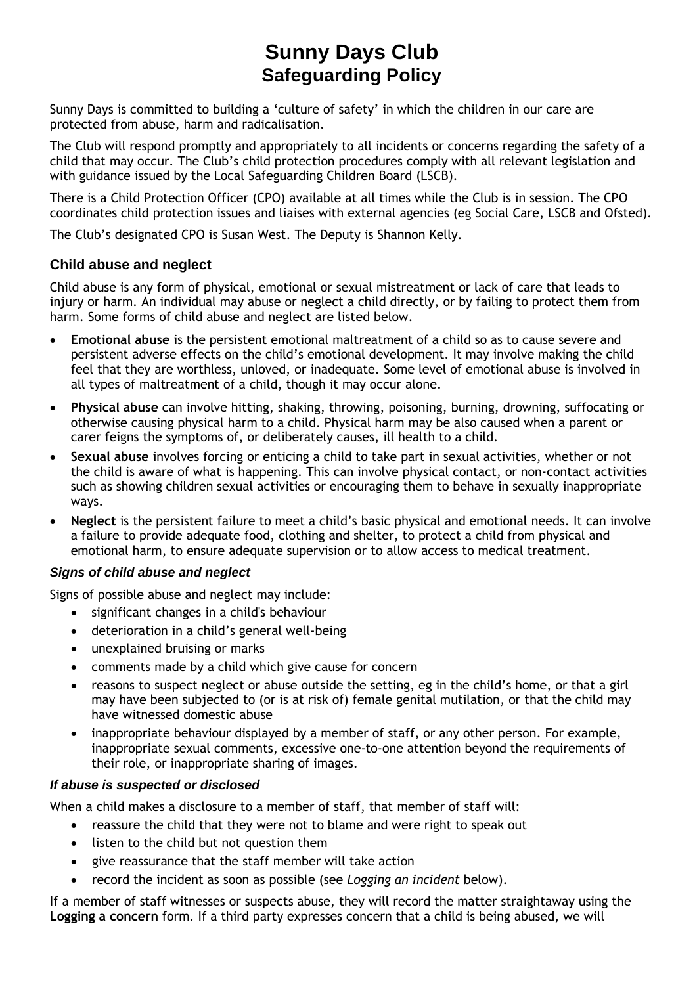# **Sunny Days Club Safeguarding Policy**

Sunny Days is committed to building a 'culture of safety' in which the children in our care are protected from abuse, harm and radicalisation.

The Club will respond promptly and appropriately to all incidents or concerns regarding the safety of a child that may occur. The Club's child protection procedures comply with all relevant legislation and with guidance issued by the Local Safeguarding Children Board (LSCB).

There is a Child Protection Officer (CPO) available at all times while the Club is in session. The CPO coordinates child protection issues and liaises with external agencies (eg Social Care, LSCB and Ofsted).

The Club's designated CPO is Susan West. The Deputy is Shannon Kelly.

# **Child abuse and neglect**

Child abuse is any form of physical, emotional or sexual mistreatment or lack of care that leads to injury or harm. An individual may abuse or neglect a child directly, or by failing to protect them from harm. Some forms of child abuse and neglect are listed below.

- **Emotional abuse** is the persistent emotional maltreatment of a child so as to cause severe and persistent adverse effects on the child's emotional development. It may involve making the child feel that they are worthless, unloved, or inadequate. Some level of emotional abuse is involved in all types of maltreatment of a child, though it may occur alone.
- **Physical abuse** can involve hitting, shaking, throwing, poisoning, burning, drowning, suffocating or otherwise causing physical harm to a child. Physical harm may be also caused when a parent or carer feigns the symptoms of, or deliberately causes, ill health to a child.
- **Sexual abuse** involves forcing or enticing a child to take part in sexual activities, whether or not the child is aware of what is happening. This can involve physical contact, or non-contact activities such as showing children sexual activities or encouraging them to behave in sexually inappropriate ways.
- **Neglect** is the persistent failure to meet a child's basic physical and emotional needs. It can involve a failure to provide adequate food, clothing and shelter, to protect a child from physical and emotional harm, to ensure adequate supervision or to allow access to medical treatment.

# *Signs of child abuse and neglect*

Signs of possible abuse and neglect may include:

- significant changes in a child's behaviour
- deterioration in a child's general well-being
- unexplained bruising or marks
- comments made by a child which give cause for concern
- reasons to suspect neglect or abuse outside the setting, eg in the child's home, or that a girl may have been subjected to (or is at risk of) female genital mutilation, or that the child may have witnessed domestic abuse
- inappropriate behaviour displayed by a member of staff, or any other person. For example, inappropriate sexual comments, excessive one-to-one attention beyond the requirements of their role, or inappropriate sharing of images.

# *If abuse is suspected or disclosed*

When a child makes a disclosure to a member of staff, that member of staff will:

- reassure the child that they were not to blame and were right to speak out
- listen to the child but not question them
- give reassurance that the staff member will take action
- record the incident as soon as possible (see *Logging an incident* below).

If a member of staff witnesses or suspects abuse, they will record the matter straightaway using the **Logging a concern** form. If a third party expresses concern that a child is being abused, we will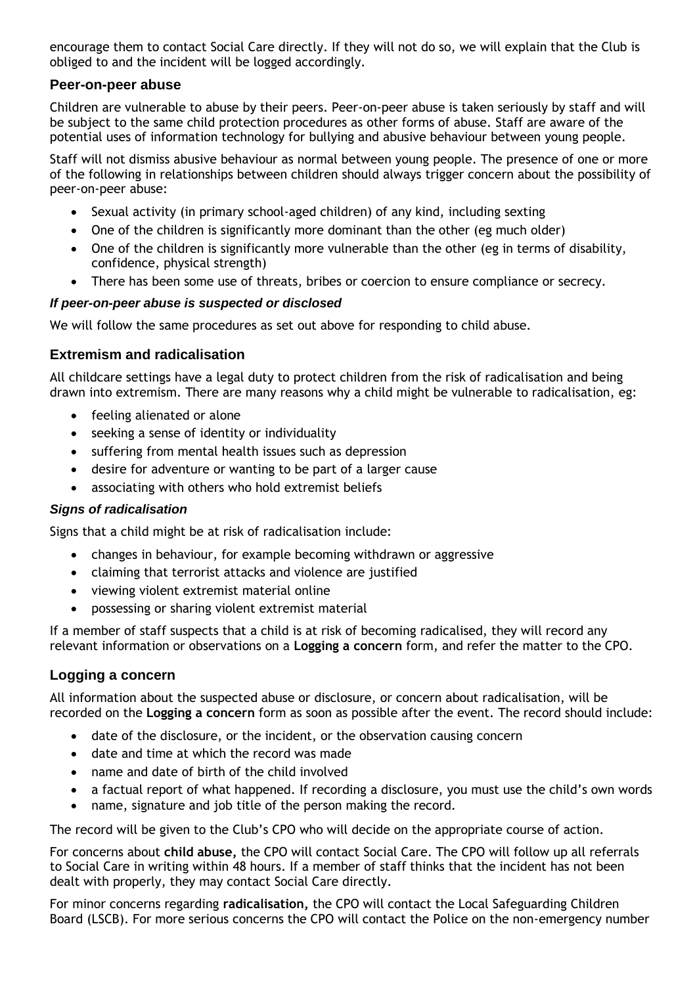encourage them to contact Social Care directly. If they will not do so, we will explain that the Club is obliged to and the incident will be logged accordingly.

## **Peer-on-peer abuse**

Children are vulnerable to abuse by their peers. Peer-on-peer abuse is taken seriously by staff and will be subject to the same child protection procedures as other forms of abuse. Staff are aware of the potential uses of information technology for bullying and abusive behaviour between young people.

Staff will not dismiss abusive behaviour as normal between young people. The presence of one or more of the following in relationships between children should always trigger concern about the possibility of peer-on-peer abuse:

- Sexual activity (in primary school-aged children) of any kind, including sexting
- One of the children is significantly more dominant than the other (eg much older)
- One of the children is significantly more vulnerable than the other (eg in terms of disability, confidence, physical strength)
- There has been some use of threats, bribes or coercion to ensure compliance or secrecy.

#### *If peer-on-peer abuse is suspected or disclosed*

We will follow the same procedures as set out above for responding to child abuse.

## **Extremism and radicalisation**

All childcare settings have a legal duty to protect children from the risk of radicalisation and being drawn into extremism. There are many reasons why a child might be vulnerable to radicalisation, eg:

- feeling alienated or alone
- seeking a sense of identity or individuality
- suffering from mental health issues such as depression
- desire for adventure or wanting to be part of a larger cause
- associating with others who hold extremist beliefs

#### *Signs of radicalisation*

Signs that a child might be at risk of radicalisation include:

- changes in behaviour, for example becoming withdrawn or aggressive
- claiming that terrorist attacks and violence are justified
- viewing violent extremist material online
- possessing or sharing violent extremist material

If a member of staff suspects that a child is at risk of becoming radicalised, they will record any relevant information or observations on a **Logging a concern** form, and refer the matter to the CPO.

#### **Logging a concern**

All information about the suspected abuse or disclosure, or concern about radicalisation, will be recorded on the **Logging a concern** form as soon as possible after the event. The record should include:

- date of the disclosure, or the incident, or the observation causing concern
- date and time at which the record was made
- name and date of birth of the child involved
- a factual report of what happened. If recording a disclosure, you must use the child's own words
- name, signature and job title of the person making the record.

The record will be given to the Club's CPO who will decide on the appropriate course of action.

For concerns about **child abuse,** the CPO will contact Social Care. The CPO will follow up all referrals to Social Care in writing within 48 hours. If a member of staff thinks that the incident has not been dealt with properly, they may contact Social Care directly.

For minor concerns regarding **radicalisation,** the CPO will contact the Local Safeguarding Children Board (LSCB). For more serious concerns the CPO will contact the Police on the non-emergency number